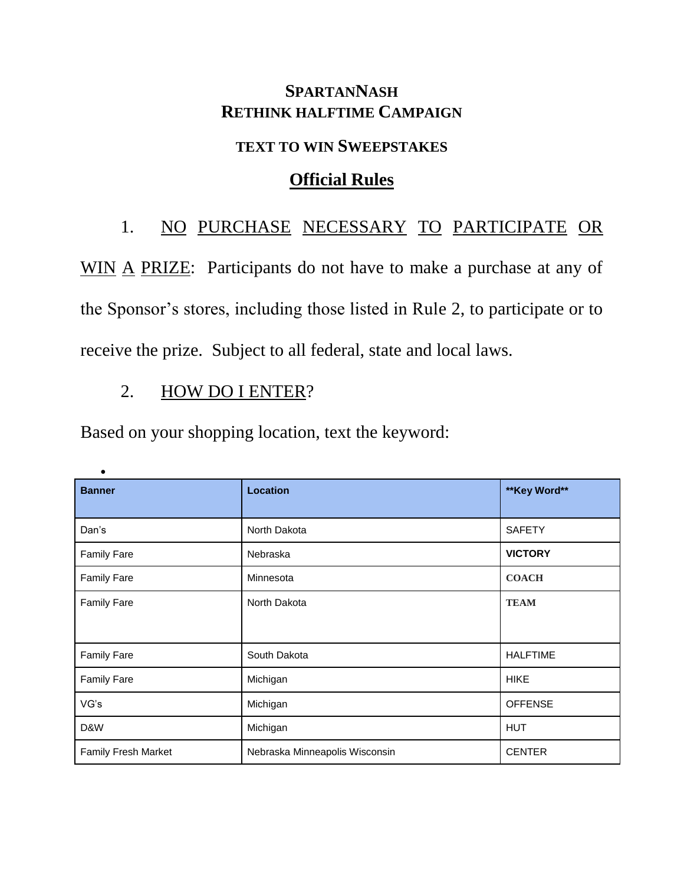#### **SPARTANNASH RETHINK HALFTIME CAMPAIGN**

#### **TEXT TO WIN SWEEPSTAKES**

### **Official Rules**

# 1. NO PURCHASE NECESSARY TO PARTICIPATE OR

WIN A PRIZE: Participants do not have to make a purchase at any of the Sponsor's stores, including those listed in Rule 2, to participate or to receive the prize. Subject to all federal, state and local laws.

## 2. HOW DO I ENTER?

 $\bullet$ 

Based on your shopping location, text the keyword:

| <b>Banner</b>       | <b>Location</b>                | ** Key Word**   |
|---------------------|--------------------------------|-----------------|
| Dan's               | North Dakota                   | <b>SAFETY</b>   |
| <b>Family Fare</b>  | Nebraska                       | <b>VICTORY</b>  |
| <b>Family Fare</b>  | Minnesota                      | <b>COACH</b>    |
| <b>Family Fare</b>  | North Dakota                   | <b>TEAM</b>     |
|                     |                                |                 |
| <b>Family Fare</b>  | South Dakota                   | <b>HALFTIME</b> |
| <b>Family Fare</b>  | Michigan                       | <b>HIKE</b>     |
| VG's                | Michigan                       | <b>OFFENSE</b>  |
| D&W                 | Michigan                       | <b>HUT</b>      |
| Family Fresh Market | Nebraska Minneapolis Wisconsin | <b>CENTER</b>   |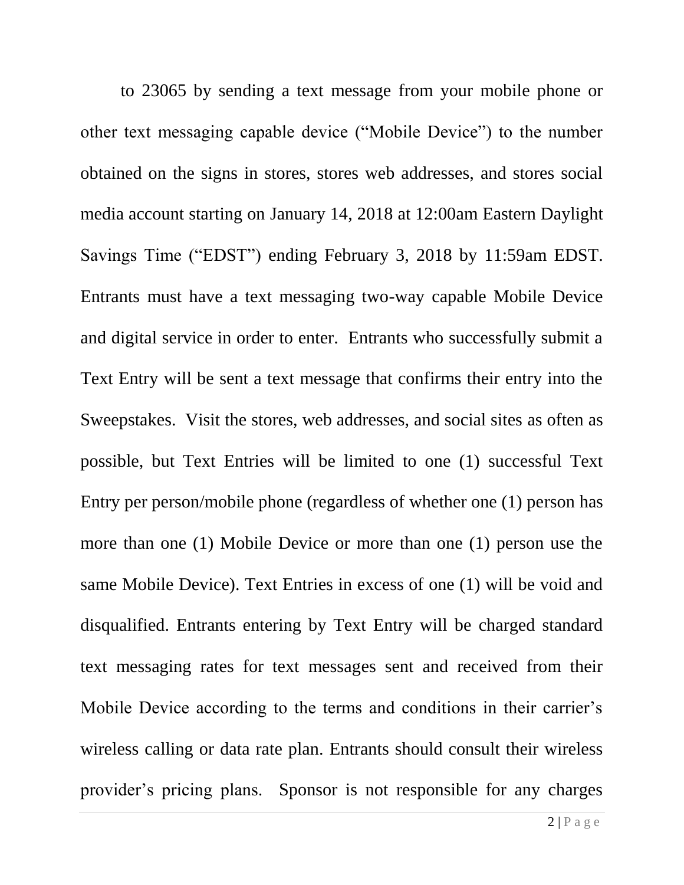to 23065 by sending a text message from your mobile phone or other text messaging capable device ("Mobile Device") to the number obtained on the signs in stores, stores web addresses, and stores social media account starting on January 14, 2018 at 12:00am Eastern Daylight Savings Time ("EDST") ending February 3, 2018 by 11:59am EDST. Entrants must have a text messaging two-way capable Mobile Device and digital service in order to enter. Entrants who successfully submit a Text Entry will be sent a text message that confirms their entry into the Sweepstakes. Visit the stores, web addresses, and social sites as often as possible, but Text Entries will be limited to one (1) successful Text Entry per person/mobile phone (regardless of whether one (1) person has more than one (1) Mobile Device or more than one (1) person use the same Mobile Device). Text Entries in excess of one (1) will be void and disqualified. Entrants entering by Text Entry will be charged standard text messaging rates for text messages sent and received from their Mobile Device according to the terms and conditions in their carrier's wireless calling or data rate plan. Entrants should consult their wireless provider's pricing plans. Sponsor is not responsible for any charges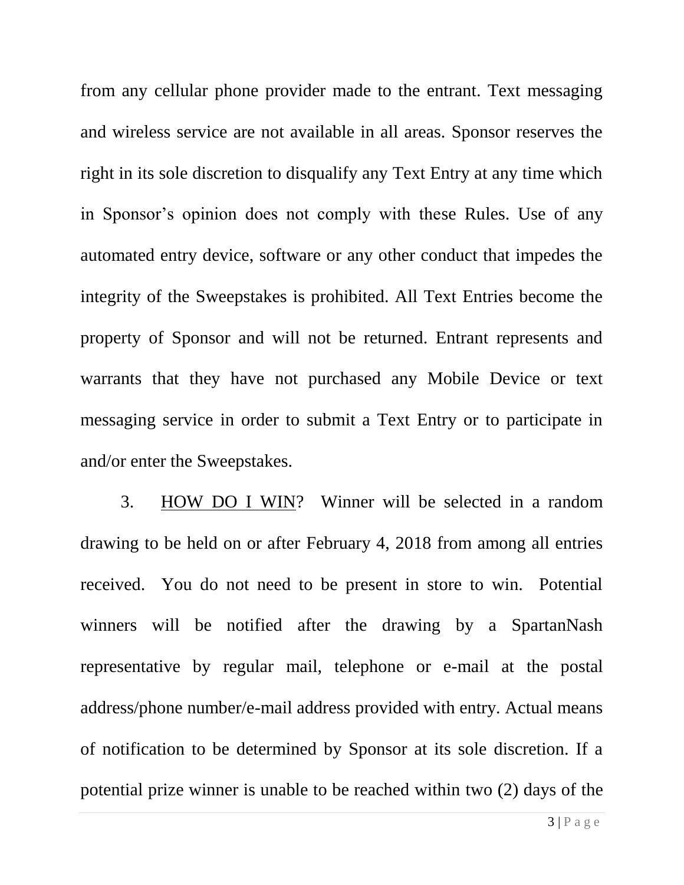from any cellular phone provider made to the entrant. Text messaging and wireless service are not available in all areas. Sponsor reserves the right in its sole discretion to disqualify any Text Entry at any time which in Sponsor's opinion does not comply with these Rules. Use of any automated entry device, software or any other conduct that impedes the integrity of the Sweepstakes is prohibited. All Text Entries become the property of Sponsor and will not be returned. Entrant represents and warrants that they have not purchased any Mobile Device or text messaging service in order to submit a Text Entry or to participate in and/or enter the Sweepstakes.

3. HOW DO I WIN? Winner will be selected in a random drawing to be held on or after February 4, 2018 from among all entries received. You do not need to be present in store to win. Potential winners will be notified after the drawing by a SpartanNash representative by regular mail, telephone or e-mail at the postal address/phone number/e-mail address provided with entry. Actual means of notification to be determined by Sponsor at its sole discretion. If a potential prize winner is unable to be reached within two (2) days of the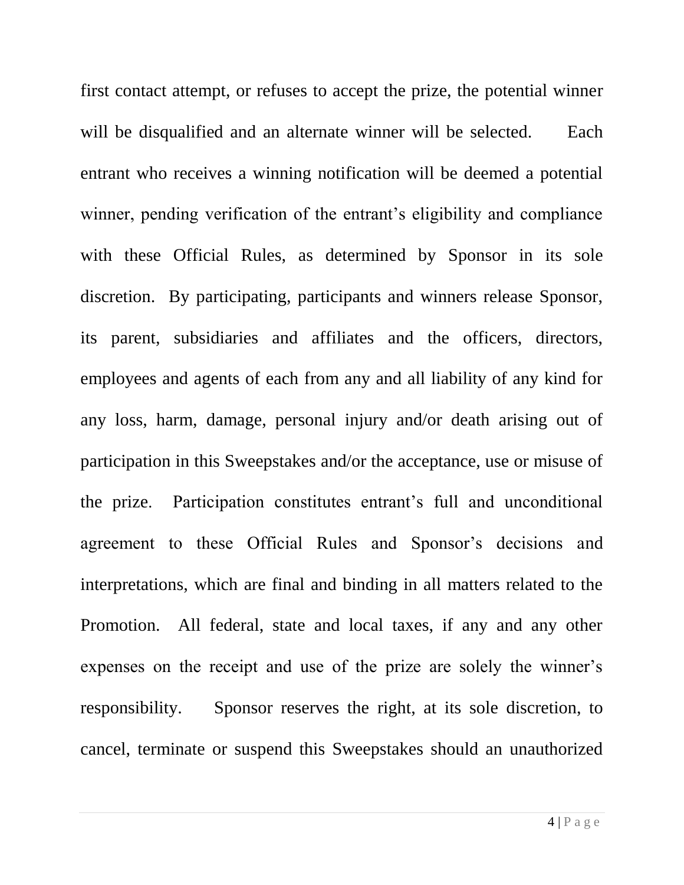first contact attempt, or refuses to accept the prize, the potential winner will be disqualified and an alternate winner will be selected. Each entrant who receives a winning notification will be deemed a potential winner, pending verification of the entrant's eligibility and compliance with these Official Rules, as determined by Sponsor in its sole discretion. By participating, participants and winners release Sponsor, its parent, subsidiaries and affiliates and the officers, directors, employees and agents of each from any and all liability of any kind for any loss, harm, damage, personal injury and/or death arising out of participation in this Sweepstakes and/or the acceptance, use or misuse of the prize. Participation constitutes entrant's full and unconditional agreement to these Official Rules and Sponsor's decisions and interpretations, which are final and binding in all matters related to the Promotion. All federal, state and local taxes, if any and any other expenses on the receipt and use of the prize are solely the winner's responsibility. Sponsor reserves the right, at its sole discretion, to cancel, terminate or suspend this Sweepstakes should an unauthorized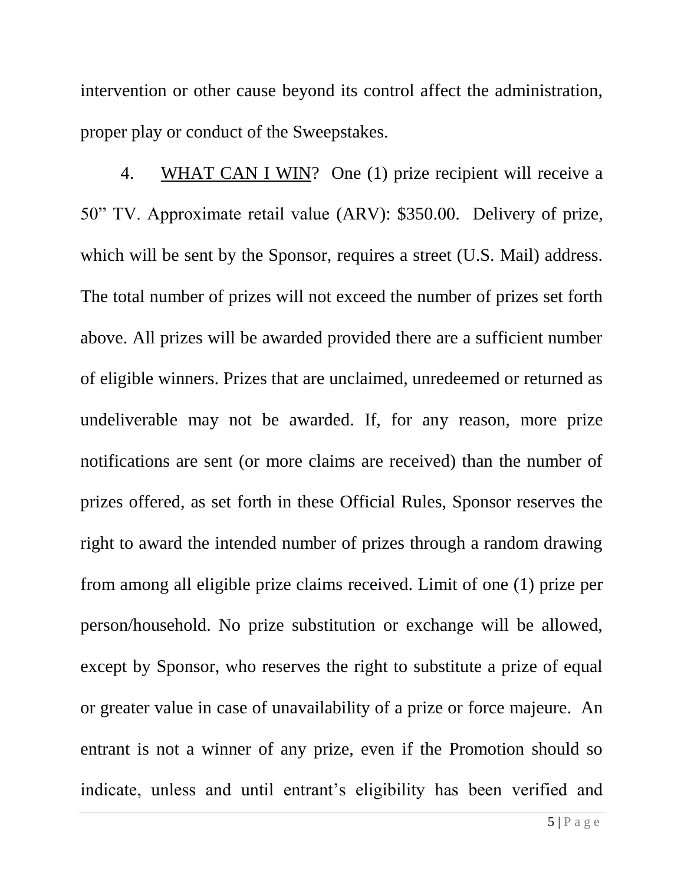intervention or other cause beyond its control affect the administration, proper play or conduct of the Sweepstakes.

4. WHAT CAN I WIN? One (1) prize recipient will receive a 50" TV. Approximate retail value (ARV): \$350.00. Delivery of prize, which will be sent by the Sponsor, requires a street (U.S. Mail) address. The total number of prizes will not exceed the number of prizes set forth above. All prizes will be awarded provided there are a sufficient number of eligible winners. Prizes that are unclaimed, unredeemed or returned as undeliverable may not be awarded. If, for any reason, more prize notifications are sent (or more claims are received) than the number of prizes offered, as set forth in these Official Rules, Sponsor reserves the right to award the intended number of prizes through a random drawing from among all eligible prize claims received. Limit of one (1) prize per person/household. No prize substitution or exchange will be allowed, except by Sponsor, who reserves the right to substitute a prize of equal or greater value in case of unavailability of a prize or force majeure. An entrant is not a winner of any prize, even if the Promotion should so indicate, unless and until entrant's eligibility has been verified and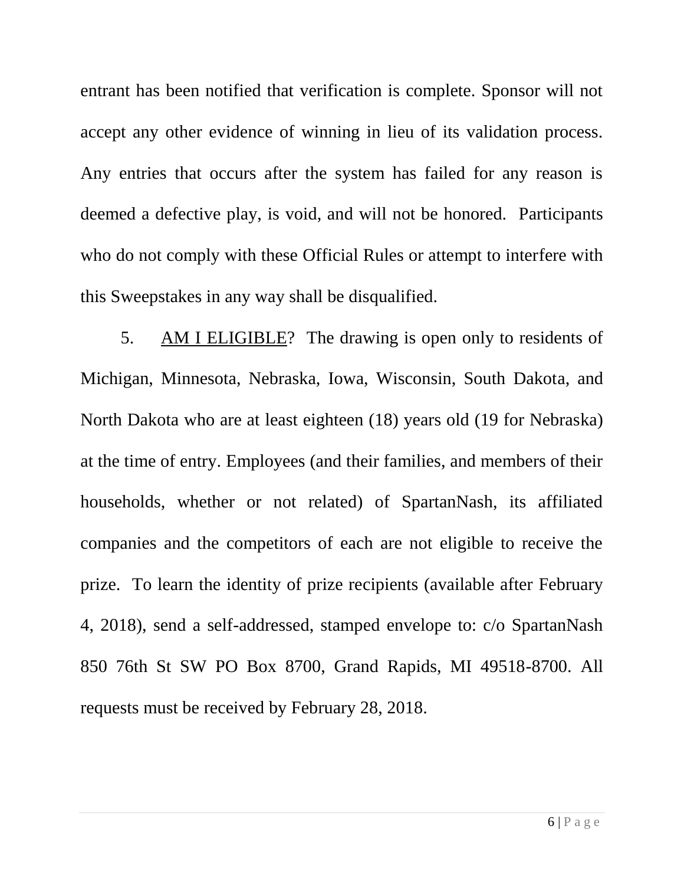entrant has been notified that verification is complete. Sponsor will not accept any other evidence of winning in lieu of its validation process. Any entries that occurs after the system has failed for any reason is deemed a defective play, is void, and will not be honored. Participants who do not comply with these Official Rules or attempt to interfere with this Sweepstakes in any way shall be disqualified.

5. AM I ELIGIBLE? The drawing is open only to residents of Michigan, Minnesota, Nebraska, Iowa, Wisconsin, South Dakota, and North Dakota who are at least eighteen (18) years old (19 for Nebraska) at the time of entry. Employees (and their families, and members of their households, whether or not related) of SpartanNash, its affiliated companies and the competitors of each are not eligible to receive the prize. To learn the identity of prize recipients (available after February 4, 2018), send a self-addressed, stamped envelope to: c/o SpartanNash 850 76th St SW PO Box 8700, Grand Rapids, MI 49518-8700. All requests must be received by February 28, 2018.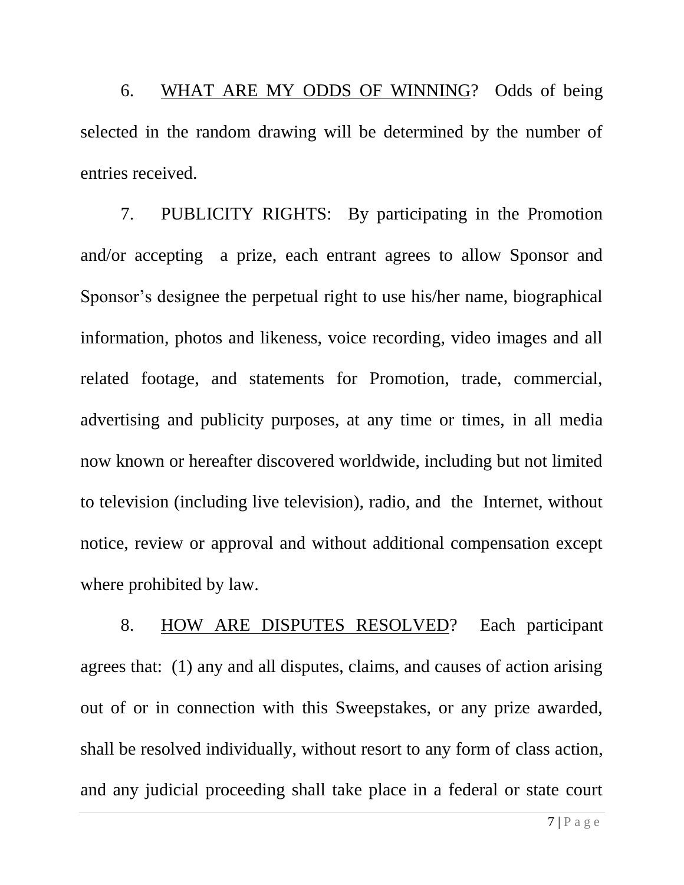6. WHAT ARE MY ODDS OF WINNING? Odds of being selected in the random drawing will be determined by the number of entries received.

7. PUBLICITY RIGHTS: By participating in the Promotion and/or accepting a prize, each entrant agrees to allow Sponsor and Sponsor's designee the perpetual right to use his/her name, biographical information, photos and likeness, voice recording, video images and all related footage, and statements for Promotion, trade, commercial, advertising and publicity purposes, at any time or times, in all media now known or hereafter discovered worldwide, including but not limited to television (including live television), radio, and the Internet, without notice, review or approval and without additional compensation except where prohibited by law.

8. HOW ARE DISPUTES RESOLVED? Each participant agrees that: (1) any and all disputes, claims, and causes of action arising out of or in connection with this Sweepstakes, or any prize awarded, shall be resolved individually, without resort to any form of class action, and any judicial proceeding shall take place in a federal or state court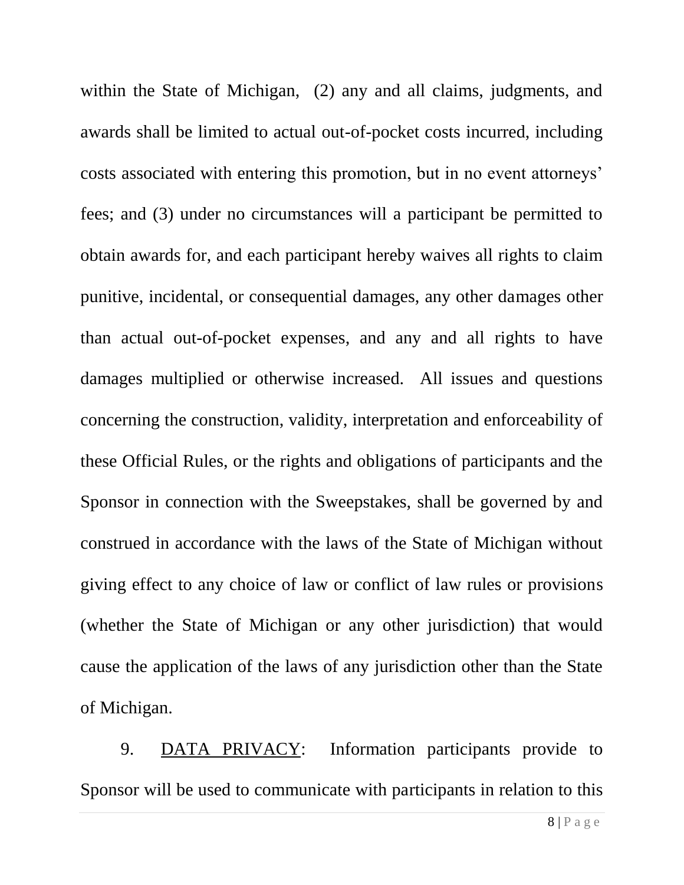within the State of Michigan, (2) any and all claims, judgments, and awards shall be limited to actual out-of-pocket costs incurred, including costs associated with entering this promotion, but in no event attorneys' fees; and (3) under no circumstances will a participant be permitted to obtain awards for, and each participant hereby waives all rights to claim punitive, incidental, or consequential damages, any other damages other than actual out-of-pocket expenses, and any and all rights to have damages multiplied or otherwise increased. All issues and questions concerning the construction, validity, interpretation and enforceability of these Official Rules, or the rights and obligations of participants and the Sponsor in connection with the Sweepstakes, shall be governed by and construed in accordance with the laws of the State of Michigan without giving effect to any choice of law or conflict of law rules or provisions (whether the State of Michigan or any other jurisdiction) that would cause the application of the laws of any jurisdiction other than the State of Michigan.

9. DATA PRIVACY: Information participants provide to Sponsor will be used to communicate with participants in relation to this